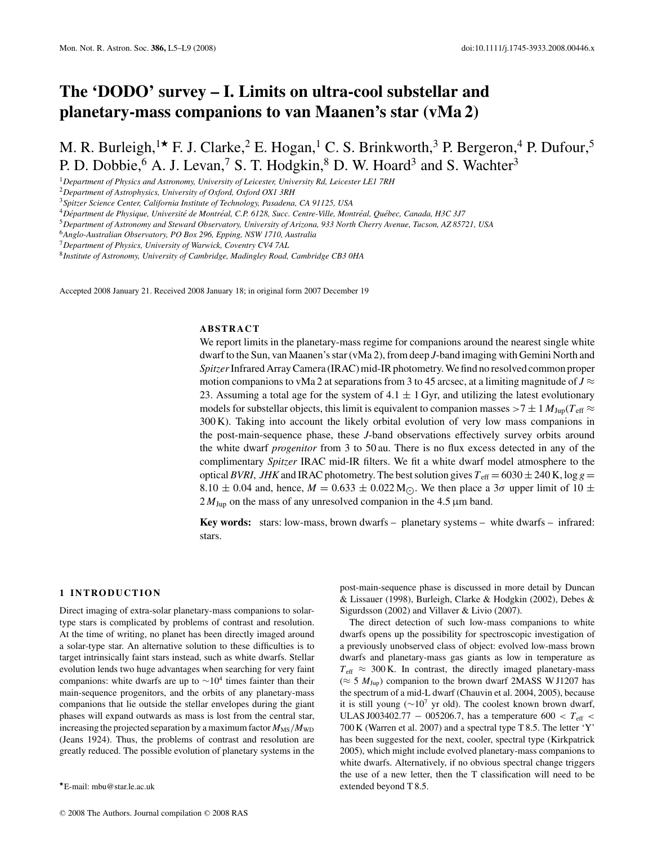# **The 'DODO' survey – I. Limits on ultra-cool substellar and planetary-mass companions to van Maanen's star (vMa 2)**

M. R. Burleigh,<sup>1\*</sup> F. J. Clarke,<sup>2</sup> E. Hogan,<sup>1</sup> C. S. Brinkworth,<sup>3</sup> P. Bergeron,<sup>4</sup> P. Dufour,<sup>5</sup> P. D. Dobbie,  $6$  A. J. Levan,  $7$  S. T. Hodgkin,  $8$  D. W. Hoard  $3$  and S. Wachter  $3$ 

<sup>1</sup>*Department of Physics and Astronomy, University of Leicester, University Rd, Leicester LE1 7RH*

<sup>2</sup>*Department of Astrophysics, University of Oxford, Oxford OX1 3RH*

<sup>4</sup>*Department de Physique, Universit ´ e de Montr ´ eal, C.P. 6128, Succ. Centre-Ville, Montr ´ eal, Qu ´ ebec, Canada, H3C 3J7 ´*

<sup>5</sup>*Department of Astronomy and Steward Observatory, University of Arizona, 933 North Cherry Avenue, Tucson, AZ 85721, USA*

<sup>6</sup>*Anglo-Australian Observatory, PO Box 296, Epping, NSW 1710, Australia*

<sup>7</sup>*Department of Physics, University of Warwick, Coventry CV4 7AL*

<sup>8</sup>*Institute of Astronomy, University of Cambridge, Madingley Road, Cambridge CB3 0HA*

Accepted 2008 January 21. Received 2008 January 18; in original form 2007 December 19

# **ABSTRACT**

We report limits in the planetary-mass regime for companions around the nearest single white dwarf to the Sun, van Maanen's star (vMa 2), from deep *J*-band imaging with Gemini North and *Spitzer*Infrared Array Camera (IRAC) mid-IR photometry. We find no resolved common proper motion companions to vMa 2 at separations from 3 to 45 arcsec, at a limiting magnitude of  $J \approx$ 23. Assuming a total age for the system of 4.1  $\pm$  1 Gyr, and utilizing the latest evolutionary models for substellar objects, this limit is equivalent to companion masses  $>7 \pm 1$   $M_{\text{Jup}}(T_{\text{eff}} \approx$ 300 K). Taking into account the likely orbital evolution of very low mass companions in the post-main-sequence phase, these *J*-band observations effectively survey orbits around the white dwarf *progenitor* from 3 to 50 au. There is no flux excess detected in any of the complimentary *Spitzer* IRAC mid-IR filters. We fit a white dwarf model atmosphere to the optical *BVRI*, *JHK* and IRAC photometry. The best solution gives  $T_{\text{eff}} = 6030 \pm 240$  K, log  $g =$ 8.10  $\pm$  0.04 and, hence,  $M = 0.633 \pm 0.022$  M<sub>O</sub>. We then place a 3 $\sigma$  upper limit of 10  $\pm$  $2 M_{\text{Jup}}$  on the mass of any unresolved companion in the 4.5  $\mu$ m band.

**Key words:** stars: low-mass, brown dwarfs – planetary systems – white dwarfs – infrared: stars.

## **1 INTRODUCTION**

Direct imaging of extra-solar planetary-mass companions to solartype stars is complicated by problems of contrast and resolution. At the time of writing, no planet has been directly imaged around a solar-type star. An alternative solution to these difficulties is to target intrinsically faint stars instead, such as white dwarfs. Stellar evolution lends two huge advantages when searching for very faint companions: white dwarfs are up to  $\sim 10^4$  times fainter than their main-sequence progenitors, and the orbits of any planetary-mass companions that lie outside the stellar envelopes during the giant phases will expand outwards as mass is lost from the central star, increasing the projected separation by a maximum factor  $M_{\rm MS}/M_{\rm WD}$ (Jeans 1924). Thus, the problems of contrast and resolution are greatly reduced. The possible evolution of planetary systems in the

post-main-sequence phase is discussed in more detail by Duncan & Lissauer (1998), Burleigh, Clarke & Hodgkin (2002), Debes & Sigurdsson (2002) and Villaver & Livio (2007).

The direct detection of such low-mass companions to white dwarfs opens up the possibility for spectroscopic investigation of a previously unobserved class of object: evolved low-mass brown dwarfs and planetary-mass gas giants as low in temperature as  $T_{\text{eff}} \approx 300 \text{ K}$ . In contrast, the directly imaged planetary-mass ( $\approx$  5  $M_{\text{Jup}}$ ) companion to the brown dwarf 2MASS W J1207 has the spectrum of a mid-L dwarf (Chauvin et al. 2004, 2005), because it is still young ( $\sim$ 10<sup>7</sup> yr old). The coolest known brown dwarf, ULAS J003402.77 − 005206.7, has a temperature 600 < *T*eff < 700 K (Warren et al. 2007) and a spectral type T 8.5. The letter 'Y' has been suggested for the next, cooler, spectral type (Kirkpatrick 2005), which might include evolved planetary-mass companions to white dwarfs. Alternatively, if no obvious spectral change triggers the use of a new letter, then the T classification will need to be extended beyond T 8.5.

<sup>3</sup>*Spitzer Science Center, California Institute of Technology, Pasadena, CA 91125, USA*

<sup>-</sup>E-mail: mbu@star.le.ac.uk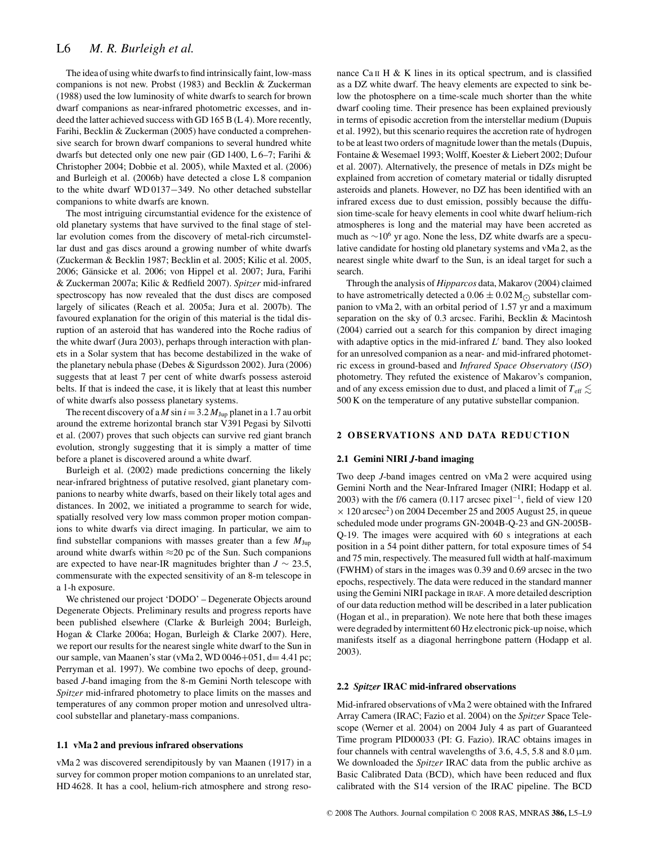The idea of using white dwarfs to find intrinsically faint, low-mass companions is not new. Probst (1983) and Becklin & Zuckerman (1988) used the low luminosity of white dwarfs to search for brown dwarf companions as near-infrared photometric excesses, and indeed the latter achieved success with GD 165 B (L 4). More recently, Farihi, Becklin & Zuckerman (2005) have conducted a comprehensive search for brown dwarf companions to several hundred white dwarfs but detected only one new pair (GD 1400, L 6–7; Farihi & Christopher 2004; Dobbie et al. 2005), while Maxted et al. (2006) and Burleigh et al. (2006b) have detected a close L 8 companion to the white dwarf WD 0137−349. No other detached substellar companions to white dwarfs are known.

The most intriguing circumstantial evidence for the existence of old planetary systems that have survived to the final stage of stellar evolution comes from the discovery of metal-rich circumstellar dust and gas discs around a growing number of white dwarfs (Zuckerman & Becklin 1987; Becklin et al. 2005; Kilic et al. 2005, 2006; Gänsicke et al. 2006; von Hippel et al. 2007; Jura, Farihi & Zuckerman 2007a; Kilic & Redfield 2007). *Spitzer* mid-infrared spectroscopy has now revealed that the dust discs are composed largely of silicates (Reach et al. 2005a; Jura et al. 2007b). The favoured explanation for the origin of this material is the tidal disruption of an asteroid that has wandered into the Roche radius of the white dwarf (Jura 2003), perhaps through interaction with planets in a Solar system that has become destabilized in the wake of the planetary nebula phase (Debes & Sigurdsson 2002). Jura (2006) suggests that at least 7 per cent of white dwarfs possess asteroid belts. If that is indeed the case, it is likely that at least this number of white dwarfs also possess planetary systems.

The recent discovery of a *M* sin  $i = 3.2 M_{Jup}$  planet in a 1.7 au orbit around the extreme horizontal branch star V391 Pegasi by Silvotti et al. (2007) proves that such objects can survive red giant branch evolution, strongly suggesting that it is simply a matter of time before a planet is discovered around a white dwarf.

Burleigh et al. (2002) made predictions concerning the likely near-infrared brightness of putative resolved, giant planetary companions to nearby white dwarfs, based on their likely total ages and distances. In 2002, we initiated a programme to search for wide, spatially resolved very low mass common proper motion companions to white dwarfs via direct imaging. In particular, we aim to find substellar companions with masses greater than a few  $M_{\text{Jup}}$ around white dwarfs within  $\approx$ 20 pc of the Sun. Such companions are expected to have near-IR magnitudes brighter than  $J \sim 23.5$ , commensurate with the expected sensitivity of an 8-m telescope in a 1-h exposure.

We christened our project 'DODO' – Degenerate Objects around Degenerate Objects. Preliminary results and progress reports have been published elsewhere (Clarke & Burleigh 2004; Burleigh, Hogan & Clarke 2006a; Hogan, Burleigh & Clarke 2007). Here, we report our results for the nearest single white dwarf to the Sun in our sample, van Maanen's star (vMa 2, WD 0046+051, d= 4.41 pc; Perryman et al. 1997). We combine two epochs of deep, groundbased *J*-band imaging from the 8-m Gemini North telescope with *Spitzer* mid-infrared photometry to place limits on the masses and temperatures of any common proper motion and unresolved ultracool substellar and planetary-mass companions.

#### **1.1 vMa 2 and previous infrared observations**

vMa 2 was discovered serendipitously by van Maanen (1917) in a survey for common proper motion companions to an unrelated star, HD 4628. It has a cool, helium-rich atmosphere and strong resonance Ca II H  $\&$  K lines in its optical spectrum, and is classified as a DZ white dwarf. The heavy elements are expected to sink below the photosphere on a time-scale much shorter than the white dwarf cooling time. Their presence has been explained previously in terms of episodic accretion from the interstellar medium (Dupuis et al. 1992), but this scenario requires the accretion rate of hydrogen to be at least two orders of magnitude lower than the metals (Dupuis, Fontaine & Wesemael 1993; Wolff, Koester & Liebert 2002; Dufour et al. 2007). Alternatively, the presence of metals in DZs might be explained from accretion of cometary material or tidally disrupted asteroids and planets. However, no DZ has been identified with an infrared excess due to dust emission, possibly because the diffusion time-scale for heavy elements in cool white dwarf helium-rich atmospheres is long and the material may have been accreted as much as  $\sim$ 10<sup>6</sup> yr ago. None the less, DZ white dwarfs are a speculative candidate for hosting old planetary systems and vMa 2, as the nearest single white dwarf to the Sun, is an ideal target for such a search.

Through the analysis of *Hipparcos* data, Makarov (2004) claimed to have astrometrically detected a  $0.06 \pm 0.02$  M<sub> $\odot$ </sub> substellar companion to vMa 2, with an orbital period of 1.57 yr and a maximum separation on the sky of 0.3 arcsec. Farihi, Becklin & Macintosh (2004) carried out a search for this companion by direct imaging with adaptive optics in the mid-infrared *L'* band. They also looked for an unresolved companion as a near- and mid-infrared photometric excess in ground-based and *Infrared Space Observatory* (*ISO*) photometry. They refuted the existence of Makarov's companion, and of any excess emission due to dust, and placed a limit of  $T_{\rm eff}$   $\lesssim$ 500 K on the temperature of any putative substellar companion.

## **2 OBSERVATIONS AND DATA REDUCTION**

#### **2.1 Gemini NIRI** *J***-band imaging**

Two deep *J*-band images centred on vMa 2 were acquired using Gemini North and the Near-Infrared Imager (NIRI; Hodapp et al. 2003) with the f/6 camera (0.117 arcsec pixel<sup>-1</sup>, field of view 120  $\times$  120 arcsec<sup>2</sup>) on 2004 December 25 and 2005 August 25, in queue scheduled mode under programs GN-2004B-Q-23 and GN-2005B-Q-19. The images were acquired with 60 s integrations at each position in a 54 point dither pattern, for total exposure times of 54 and 75 min, respectively. The measured full width at half-maximum (FWHM) of stars in the images was 0.39 and 0.69 arcsec in the two epochs, respectively. The data were reduced in the standard manner using the Gemini NIRI package in IRAF. A more detailed description of our data reduction method will be described in a later publication (Hogan et al., in preparation). We note here that both these images were degraded by intermittent 60 Hz electronic pick-up noise, which manifests itself as a diagonal herringbone pattern (Hodapp et al. 2003).

#### **2.2** *Spitzer* **IRAC mid-infrared observations**

Mid-infrared observations of vMa 2 were obtained with the Infrared Array Camera (IRAC; Fazio et al. 2004) on the *Spitzer* Space Telescope (Werner et al. 2004) on 2004 July 4 as part of Guaranteed Time program PID00033 (PI: G. Fazio). IRAC obtains images in four channels with central wavelengths of 3.6, 4.5, 5.8 and 8.0  $\mu$ m. We downloaded the *Spitzer* IRAC data from the public archive as Basic Calibrated Data (BCD), which have been reduced and flux calibrated with the S14 version of the IRAC pipeline. The BCD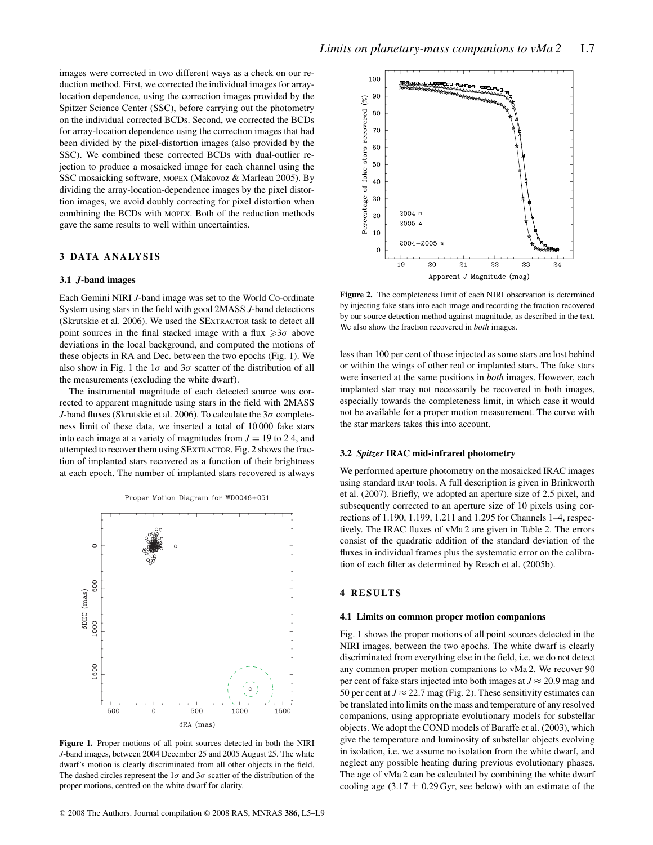images were corrected in two different ways as a check on our reduction method. First, we corrected the individual images for arraylocation dependence, using the correction images provided by the Spitzer Science Center (SSC), before carrying out the photometry on the individual corrected BCDs. Second, we corrected the BCDs for array-location dependence using the correction images that had been divided by the pixel-distortion images (also provided by the SSC). We combined these corrected BCDs with dual-outlier rejection to produce a mosaicked image for each channel using the SSC mosaicking software, MOPEX (Makovoz & Marleau 2005). By dividing the array-location-dependence images by the pixel distortion images, we avoid doubly correcting for pixel distortion when combining the BCDs with MOPEX. Both of the reduction methods gave the same results to well within uncertainties.

# **3 DATA ANALYSIS**

## **3.1** *J***-band images**

Each Gemini NIRI *J*-band image was set to the World Co-ordinate System using stars in the field with good 2MASS *J*-band detections (Skrutskie et al. 2006). We used the SEXTRACTOR task to detect all point sources in the final stacked image with a flux  $\geq 3\sigma$  above deviations in the local background, and computed the motions of these objects in RA and Dec. between the two epochs (Fig. 1). We also show in Fig. 1 the  $1\sigma$  and  $3\sigma$  scatter of the distribution of all the measurements (excluding the white dwarf).

The instrumental magnitude of each detected source was corrected to apparent magnitude using stars in the field with 2MASS *J*-band fluxes (Skrutskie et al. 2006). To calculate the  $3\sigma$  completeness limit of these data, we inserted a total of 10 000 fake stars into each image at a variety of magnitudes from  $J = 19$  to 24, and attempted to recover them using SEXTRACTOR. Fig. 2 shows the fraction of implanted stars recovered as a function of their brightness at each epoch. The number of implanted stars recovered is always



Proper Motion Diagram for WD0046+051

**Figure 1.** Proper motions of all point sources detected in both the NIRI *J*-band images, between 2004 December 25 and 2005 August 25. The white dwarf's motion is clearly discriminated from all other objects in the field. The dashed circles represent the  $1\sigma$  and  $3\sigma$  scatter of the distribution of the proper motions, centred on the white dwarf for clarity.



**Figure 2.** The completeness limit of each NIRI observation is determined by injecting fake stars into each image and recording the fraction recovered by our source detection method against magnitude, as described in the text. We also show the fraction recovered in *both* images.

less than 100 per cent of those injected as some stars are lost behind or within the wings of other real or implanted stars. The fake stars were inserted at the same positions in *both* images. However, each implanted star may not necessarily be recovered in both images, especially towards the completeness limit, in which case it would not be available for a proper motion measurement. The curve with the star markers takes this into account.

### **3.2** *Spitzer* **IRAC mid-infrared photometry**

We performed aperture photometry on the mosaicked IRAC images using standard IRAF tools. A full description is given in Brinkworth et al. (2007). Briefly, we adopted an aperture size of 2.5 pixel, and subsequently corrected to an aperture size of 10 pixels using corrections of 1.190, 1.199, 1.211 and 1.295 for Channels 1–4, respectively. The IRAC fluxes of vMa 2 are given in Table 2. The errors consist of the quadratic addition of the standard deviation of the fluxes in individual frames plus the systematic error on the calibration of each filter as determined by Reach et al. (2005b).

# **4 RESULTS**

#### **4.1 Limits on common proper motion companions**

Fig. 1 shows the proper motions of all point sources detected in the NIRI images, between the two epochs. The white dwarf is clearly discriminated from everything else in the field, i.e. we do not detect any common proper motion companions to vMa 2. We recover 90 per cent of fake stars injected into both images at  $J \approx 20.9$  mag and 50 per cent at  $J \approx 22.7$  mag (Fig. 2). These sensitivity estimates can be translated into limits on the mass and temperature of any resolved companions, using appropriate evolutionary models for substellar objects. We adopt the COND models of Baraffe et al. (2003), which give the temperature and luminosity of substellar objects evolving in isolation, i.e. we assume no isolation from the white dwarf, and neglect any possible heating during previous evolutionary phases. The age of vMa 2 can be calculated by combining the white dwarf cooling age  $(3.17 \pm 0.29 \text{ Gyr})$ , see below) with an estimate of the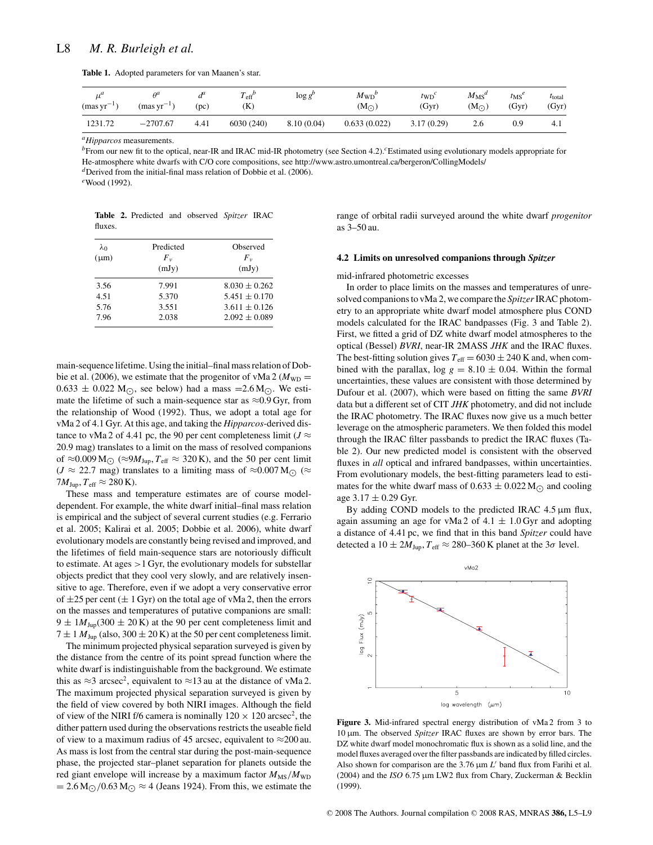**Table 1.** Adopted parameters for van Maanen's star.

| . .a<br>μ<br>$(masyr^{-1})$ | $A^a$<br>$(mas \, yr^{-1})$ | a<br>(pc) | $\mathbf{r}$<br>$T_{\text{eff}}^{\rho}$<br>(K) | $\log g$   | $M_{WD}$ <sup>t</sup><br>$(M_{\bigodot})$ | $t_{\text{WD}}$<br>(Gyr) | $M_{\rm MS}^d$<br>$(M_{\odot})$ | $t_{\rm MS}$ <sup>e</sup><br>(Gyr) | $t_{\text{total}}$<br>(Gyr) |
|-----------------------------|-----------------------------|-----------|------------------------------------------------|------------|-------------------------------------------|--------------------------|---------------------------------|------------------------------------|-----------------------------|
| 1231.72                     | $-2707.67$                  | 4.41      | 6030 (240)                                     | 8.10(0.04) | 0.633(0.022)                              | 3.17(0.29)               | 2.6                             | 0.9                                | 4.1                         |

*aHipparcos* measurements.

*b* From our new fit to the optical, near-IR and IRAC mid-IR photometry (see Section 4.2).<sup>*c*</sup>Estimated using evolutionary models appropriate for He-atmosphere white dwarfs with C/O core compositions, see http://www.astro.umontreal.ca/bergeron/CollingModels/

*<sup>d</sup>*Derived from the initial-final mass relation of Dobbie et al. (2006).

*<sup>e</sup>*Wood (1992).

|         | Table 2. Predicted and observed Spitzer IRAC |  |  |
|---------|----------------------------------------------|--|--|
| fluxes. |                                              |  |  |

| $\lambda_0$<br>$(\mu m)$ | Predicted<br>$F_v$<br>(mJy) | Observed<br>$F_v$<br>(mJy) |
|--------------------------|-----------------------------|----------------------------|
| 3.56                     | 7.991                       | $8.030 \pm 0.262$          |
| 4.51                     | 5.370                       | $5.451 \pm 0.170$          |
| 5.76                     | 3.551                       | $3.611 \pm 0.126$          |
| 7.96                     | 2.038                       | $2.092 \pm 0.089$          |

main-sequence lifetime. Using the initial–final mass relation of Dobbie et al. (2006), we estimate that the progenitor of vMa 2 ( $M_{\text{WD}} =$  $0.633 \pm 0.022$  M<sub>(c)</sub>, see below) had a mass =  $2.6$  M<sub>(c)</sub>. We estimate the lifetime of such a main-sequence star as  $\approx 0.9$  Gyr, from the relationship of Wood (1992). Thus, we adopt a total age for vMa 2 of 4.1 Gyr. At this age, and taking the *Hipparcos*-derived distance to vMa 2 of 4.41 pc, the 90 per cent completeness limit ( $J \approx$ 20.9 mag) translates to a limit on the mass of resolved companions of  $\approx 0.009 \text{ M}$ <sub>O</sub> ( $\approx 9M_{\text{Jup}}$ ,  $T_{\text{eff}} \approx 320 \text{ K}$ ), and the 50 per cent limit ( $J \approx 22.7$  mag) translates to a limiting mass of  $\approx 0.007 M_{\odot}$  ( $\approx$  $7M_{\text{Jup}}$ ,  $T_{\text{eff}} \approx 280 \text{ K}$ ).

These mass and temperature estimates are of course modeldependent. For example, the white dwarf initial–final mass relation is empirical and the subject of several current studies (e.g. Ferrario et al. 2005; Kalirai et al. 2005; Dobbie et al. 2006), white dwarf evolutionary models are constantly being revised and improved, and the lifetimes of field main-sequence stars are notoriously difficult to estimate. At ages >1 Gyr, the evolutionary models for substellar objects predict that they cool very slowly, and are relatively insensitive to age. Therefore, even if we adopt a very conservative error of  $\pm 25$  per cent ( $\pm 1$  Gyr) on the total age of vMa 2, then the errors on the masses and temperatures of putative companions are small:  $9 \pm 1 M_{Jup} (300 \pm 20 \text{ K})$  at the 90 per cent completeness limit and  $7 \pm 1$  *M*<sub>Jup</sub> (also, 300  $\pm$  20 K) at the 50 per cent completeness limit.

The minimum projected physical separation surveyed is given by the distance from the centre of its point spread function where the white dwarf is indistinguishable from the background. We estimate this as  $\approx$ 3 arcsec<sup>2</sup>, equivalent to  $\approx$ 13 au at the distance of vMa 2. The maximum projected physical separation surveyed is given by the field of view covered by both NIRI images. Although the field of view of the NIRI f/6 camera is nominally  $120 \times 120$  arcsec<sup>2</sup>, the dither pattern used during the observations restricts the useable field of view to a maximum radius of 45 arcsec, equivalent to  $\approx$ 200 au. As mass is lost from the central star during the post-main-sequence phase, the projected star–planet separation for planets outside the red giant envelope will increase by a maximum factor  $M_{\text{MS}}/M_{\text{WD}}$  $= 2.6 M_{\odot}/0.63 M_{\odot} \approx 4$  (Jeans 1924). From this, we estimate the

range of orbital radii surveyed around the white dwarf *progenitor* as 3–50 au.

#### **4.2 Limits on unresolved companions through** *Spitzer*

mid-infrared photometric excesses

In order to place limits on the masses and temperatures of unresolved companions to vMa 2, we compare the *Spitzer*IRAC photometry to an appropriate white dwarf model atmosphere plus COND models calculated for the IRAC bandpasses (Fig. 3 and Table 2). First, we fitted a grid of DZ white dwarf model atmospheres to the optical (Bessel) *BVRI*, near-IR 2MASS *JHK* and the IRAC fluxes. The best-fitting solution gives  $T_{\text{eff}} = 6030 \pm 240$  K and, when combined with the parallax, log  $g = 8.10 \pm 0.04$ . Within the formal uncertainties, these values are consistent with those determined by Dufour et al. (2007), which were based on fitting the same *BVRI* data but a different set of CIT *JHK* photometry, and did not include the IRAC photometry. The IRAC fluxes now give us a much better leverage on the atmospheric parameters. We then folded this model through the IRAC filter passbands to predict the IRAC fluxes (Table 2). Our new predicted model is consistent with the observed fluxes in *all* optical and infrared bandpasses, within uncertainties. From evolutionary models, the best-fitting parameters lead to estimates for the white dwarf mass of  $0.633 \pm 0.022$  M<sub> $\odot$ </sub> and cooling age  $3.17 \pm 0.29$  Gyr.

By adding COND models to the predicted IRAC 4.5 μm flux, again assuming an age for vMa 2 of 4.1  $\pm$  1.0 Gyr and adopting a distance of 4.41 pc, we find that in this band *Spitzer* could have detected a 10  $\pm 2M_{\text{Jup}}$ ,  $T_{\text{eff}} \approx 280-360$  K planet at the 3 $\sigma$  level.



**Figure 3.** Mid-infrared spectral energy distribution of vMa 2 from 3 to 10 μm. The observed *Spitzer* IRAC fluxes are shown by error bars. The DZ white dwarf model monochromatic flux is shown as a solid line, and the model fluxes averaged over the filter passbands are indicated by filled circles. Also shown for comparison are the 3.76  $\mu$ m *L'* band flux from Farihi et al. (2004) and the *ISO* 6.75 μm LW2 flux from Chary, Zuckerman & Becklin (1999).